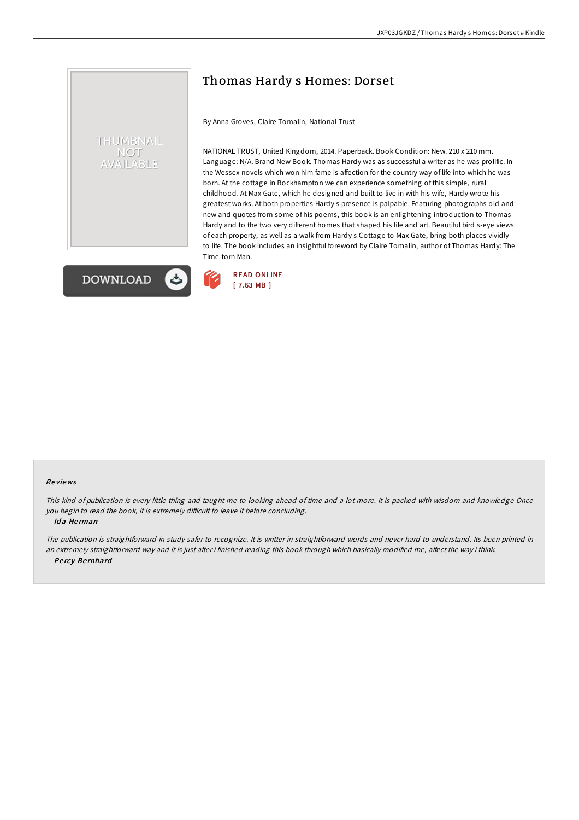# Thomas Hardy s Homes: Dorset

By Anna Groves, Claire Tomalin, National Trust

NATIONAL TRUST, United Kingdom, 2014. Paperback. Book Condition: New. 210 x 210 mm. Language: N/A. Brand New Book. Thomas Hardy was as successful a writer as he was prolific. In the Wessex novels which won him fame is affection for the country way of life into which he was born. At the cottage in Bockhampton we can experience something of this simple, rural childhood. At Max Gate, which he designed and built to live in with his wife, Hardy wrote his greatest works. At both properties Hardy s presence is palpable. Featuring photographs old and new and quotes from some of his poems, this book is an enlightening introduction to Thomas Hardy and to the two very different homes that shaped his life and art. Beautiful bird s-eye views of each property, as well as a walk from Hardy s Cottage to Max Gate, bring both places vividly to life. The book includes an insightful foreword by Claire Tomalin, author of Thomas Hardy: The Time-torn Man.



THUMBNAIL **NOT** AILABLE



#### Re views

This kind of publication is every little thing and taught me to looking ahead of time and <sup>a</sup> lot more. It is packed with wisdom and knowledge Once you begin to read the book, it is extremely difficult to leave it before concluding. -- Ida Herman

The publication is straightforward in study safer to recognize. It is writter in straightforward words and never hard to understand. Its been printed in an extremely straightforward way and it is just after i finished reading this book through which basically modified me, affect the way i think. -- Pe rcy Be rnhard